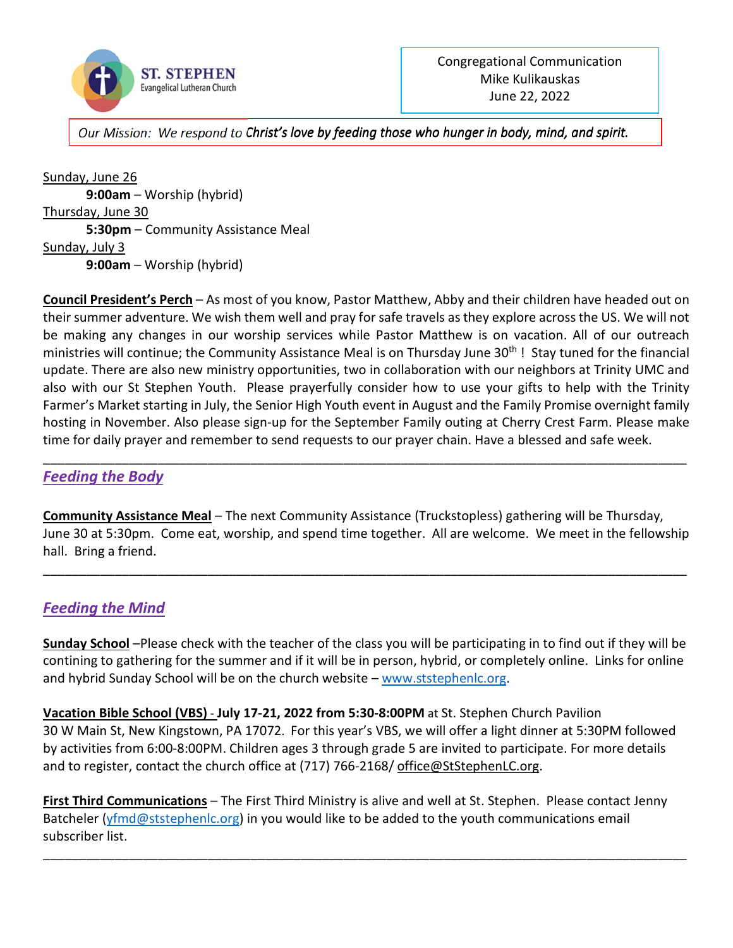

*Our Mission: We respond to Christ's love by feeding those who hunger in body, mind, and spirit.* 

Sunday, June 26 **9:00am** – Worship (hybrid) Thursday, June 30 **5:30pm** – Community Assistance Meal Sunday, July 3 **9:00am** – Worship (hybrid)

**Council President's Perch** – As most of you know, Pastor Matthew, Abby and their children have headed out on their summer adventure. We wish them well and pray for safe travels as they explore across the US. We will not be making any changes in our worship services while Pastor Matthew is on vacation. All of our outreach ministries will continue; the Community Assistance Meal is on Thursday June 30<sup>th</sup> ! Stay tuned for the financial update. There are also new ministry opportunities, two in collaboration with our neighbors at Trinity UMC and also with our St Stephen Youth. Please prayerfully consider how to use your gifts to help with the Trinity Farmer's Market starting in July, the Senior High Youth event in August and the Family Promise overnight family hosting in November. Also please sign-up for the September Family outing at Cherry Crest Farm. Please make time for daily prayer and remember to send requests to our prayer chain. Have a blessed and safe week.

### *Feeding the Body*

**Community Assistance Meal** – The next Community Assistance (Truckstopless) gathering will be Thursday, June 30 at 5:30pm. Come eat, worship, and spend time together. All are welcome. We meet in the fellowship hall. Bring a friend.

\_\_\_\_\_\_\_\_\_\_\_\_\_\_\_\_\_\_\_\_\_\_\_\_\_\_\_\_\_\_\_\_\_\_\_\_\_\_\_\_\_\_\_\_\_\_\_\_\_\_\_\_\_\_\_\_\_\_\_\_\_\_\_\_\_\_\_\_\_\_\_\_\_\_\_\_\_\_\_\_\_\_\_\_\_\_\_\_\_\_

\_\_\_\_\_\_\_\_\_\_\_\_\_\_\_\_\_\_\_\_\_\_\_\_\_\_\_\_\_\_\_\_\_\_\_\_\_\_\_\_\_\_\_\_\_\_\_\_\_\_\_\_\_\_\_\_\_\_\_\_\_\_\_\_\_\_\_\_\_\_\_\_\_\_\_\_\_\_\_\_\_\_\_\_\_\_\_\_\_\_

## *Feeding the Mind*

**Sunday School** –Please check with the teacher of the class you will be participating in to find out if they will be contining to gathering for the summer and if it will be in person, hybrid, or completely online. Links for online and hybrid Sunday School will be on the church website – www.ststephenlc.org.

**Vacation Bible School (VBS)** - **July 17-21, 2022 from 5:30-8:00PM** at St. Stephen Church Pavilion 30 W Main St, New Kingstown, PA 17072. For this year's VBS, we will offer a light dinner at 5:30PM followed by activities from 6:00-8:00PM. Children ages 3 through grade 5 are invited to participate. For more details and to register, contact the church office at (717) 766-2168/ office@StStephenLC.org.

**First Third Communications** – The First Third Ministry is alive and well at St. Stephen. Please contact Jenny Batcheler (yfmd@ststephenlc.org) in you would like to be added to the youth communications email subscriber list.

\_\_\_\_\_\_\_\_\_\_\_\_\_\_\_\_\_\_\_\_\_\_\_\_\_\_\_\_\_\_\_\_\_\_\_\_\_\_\_\_\_\_\_\_\_\_\_\_\_\_\_\_\_\_\_\_\_\_\_\_\_\_\_\_\_\_\_\_\_\_\_\_\_\_\_\_\_\_\_\_\_\_\_\_\_\_\_\_\_\_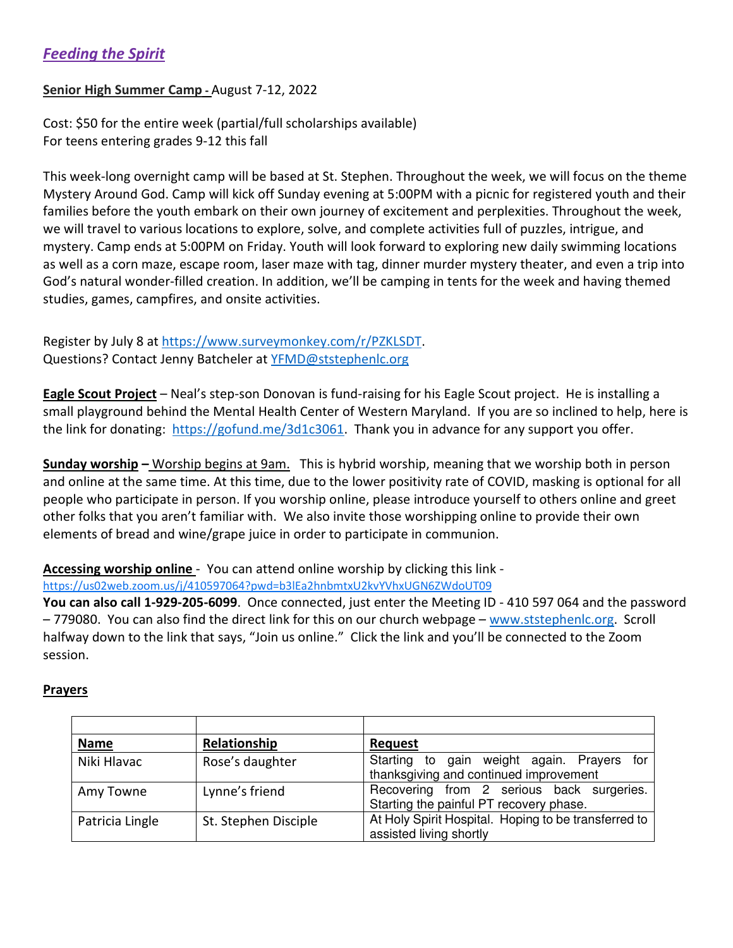# *Feeding the Spirit*

#### **Senior High Summer Camp -** August 7-12, 2022

Cost: \$50 for the entire week (partial/full scholarships available) For teens entering grades 9-12 this fall

This week-long overnight camp will be based at St. Stephen. Throughout the week, we will focus on the theme Mystery Around God. Camp will kick off Sunday evening at 5:00PM with a picnic for registered youth and their families before the youth embark on their own journey of excitement and perplexities. Throughout the week, we will travel to various locations to explore, solve, and complete activities full of puzzles, intrigue, and mystery. Camp ends at 5:00PM on Friday. Youth will look forward to exploring new daily swimming locations as well as a corn maze, escape room, laser maze with tag, dinner murder mystery theater, and even a trip into God's natural wonder-filled creation. In addition, we'll be camping in tents for the week and having themed studies, games, campfires, and onsite activities.

Register by July 8 at https://www.surveymonkey.com/r/PZKLSDT. Questions? Contact Jenny Batcheler at YFMD@ststephenlc.org

**Eagle Scout Project** – Neal's step-son Donovan is fund-raising for his Eagle Scout project. He is installing a small playground behind the Mental Health Center of Western Maryland. If you are so inclined to help, here is the link for donating: https://gofund.me/3d1c3061. Thank you in advance for any support you offer.

**Sunday worship –** Worship begins at 9am. This is hybrid worship, meaning that we worship both in person and online at the same time. At this time, due to the lower positivity rate of COVID, masking is optional for all people who participate in person. If you worship online, please introduce yourself to others online and greet other folks that you aren't familiar with. We also invite those worshipping online to provide their own elements of bread and wine/grape juice in order to participate in communion.

**Accessing worship online** - You can attend online worship by clicking this link -

https://us02web.zoom.us/j/410597064?pwd=b3lEa2hnbmtxU2kvYVhxUGN6ZWdoUT09

**You can also call 1-929-205-6099**. Once connected, just enter the Meeting ID - 410 597 064 and the password – 779080. You can also find the direct link for this on our church webpage – www.ststephenlc.org. Scroll halfway down to the link that says, "Join us online." Click the link and you'll be connected to the Zoom session.

#### **Prayers**

| <b>Name</b>     | Relationship         | <b>Request</b>                                                                       |
|-----------------|----------------------|--------------------------------------------------------------------------------------|
| Niki Hlavac     | Rose's daughter      | Starting to gain weight again. Prayers for<br>thanksgiving and continued improvement |
| Amy Towne       | Lynne's friend       | Recovering from 2 serious back surgeries.<br>Starting the painful PT recovery phase. |
| Patricia Lingle | St. Stephen Disciple | At Holy Spirit Hospital. Hoping to be transferred to<br>assisted living shortly      |